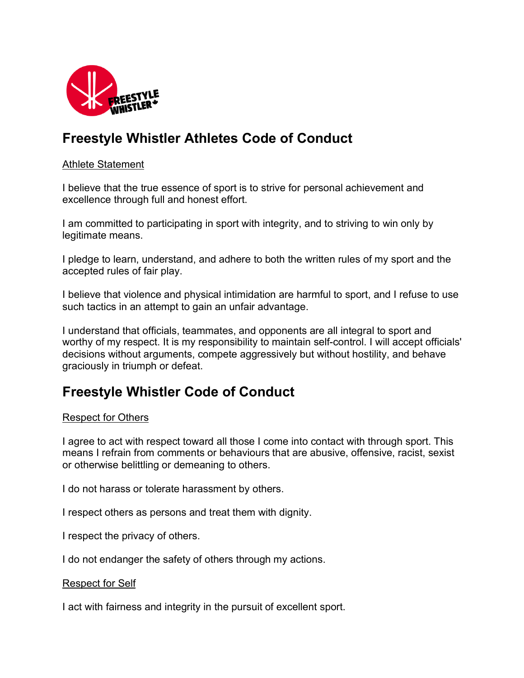

# **Freestyle Whistler Athletes Code of Conduct**

#### **Athlete Statement**

I believe that the true essence of sport is to strive for personal achievement and excellence through full and honest effort.

I am committed to participating in sport with integrity, and to striving to win only by legitimate means.

I pledge to learn, understand, and adhere to both the written rules of my sport and the accepted rules of fair play.

I believe that violence and physical intimidation are harmful to sport, and I refuse to use such tactics in an attempt to gain an unfair advantage.

I understand that officials, teammates, and opponents are all integral to sport and worthy of my respect. It is my responsibility to maintain self-control. I will accept officials' decisions without arguments, compete aggressively but without hostility, and behave graciously in triumph or defeat.

# **Freestyle Whistler Code of Conduct**

### Respect for Others

I agree to act with respect toward all those I come into contact with through sport. This means I refrain from comments or behaviours that are abusive, offensive, racist, sexist or otherwise belittling or demeaning to others.

I do not harass or tolerate harassment by others.

I respect others as persons and treat them with dignity.

I respect the privacy of others.

I do not endanger the safety of others through my actions.

#### Respect for Self

I act with fairness and integrity in the pursuit of excellent sport.